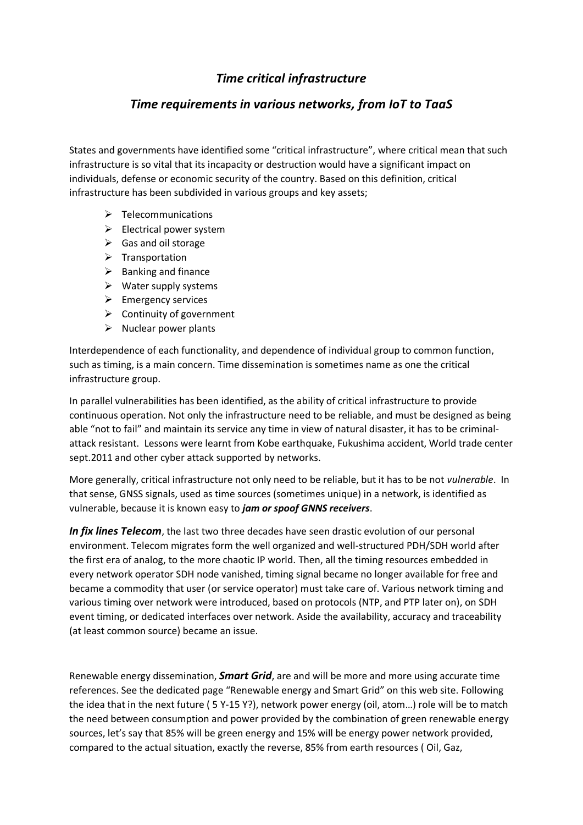# *Time critical infrastructure*

## *Time requirements in various networks, from IoT to TaaS*

States and governments have identified some "critical infrastructure", where critical mean that such infrastructure is so vital that its incapacity or destruction would have a significant impact on individuals, defense or economic security of the country. Based on this definition, critical infrastructure has been subdivided in various groups and key assets;

- $\triangleright$  Telecommunications
- ➢ Electrical power system
- $\triangleright$  Gas and oil storage
- ➢ Transportation
- $\triangleright$  Banking and finance
- $\triangleright$  Water supply systems
- ➢ Emergency services
- $\triangleright$  Continuity of government
- $\triangleright$  Nuclear power plants

Interdependence of each functionality, and dependence of individual group to common function, such as timing, is a main concern. Time dissemination is sometimes name as one the critical infrastructure group.

In parallel vulnerabilities has been identified, as the ability of critical infrastructure to provide continuous operation. Not only the infrastructure need to be reliable, and must be designed as being able "not to fail" and maintain its service any time in view of natural disaster, it has to be criminalattack resistant. Lessons were learnt from Kobe earthquake, Fukushima accident, World trade center sept.2011 and other cyber attack supported by networks.

More generally, critical infrastructure not only need to be reliable, but it has to be not *vulnerable*. In that sense, GNSS signals, used as time sources (sometimes unique) in a network, is identified as vulnerable, because it is known easy to *jam or spoof GNNS receivers*.

*In fix lines Telecom*, the last two three decades have seen drastic evolution of our personal environment. Telecom migrates form the well organized and well-structured PDH/SDH world after the first era of analog, to the more chaotic IP world. Then, all the timing resources embedded in every network operator SDH node vanished, timing signal became no longer available for free and became a commodity that user (or service operator) must take care of. Various network timing and various timing over network were introduced, based on protocols (NTP, and PTP later on), on SDH event timing, or dedicated interfaces over network. Aside the availability, accuracy and traceability (at least common source) became an issue.

Renewable energy dissemination, *Smart Grid*, are and will be more and more using accurate time references. See the dedicated page "Renewable energy and Smart Grid" on this web site. Following the idea that in the next future ( 5 Y-15 Y?), network power energy (oil, atom…) role will be to match the need between consumption and power provided by the combination of green renewable energy sources, let's say that 85% will be green energy and 15% will be energy power network provided, compared to the actual situation, exactly the reverse, 85% from earth resources ( Oil, Gaz,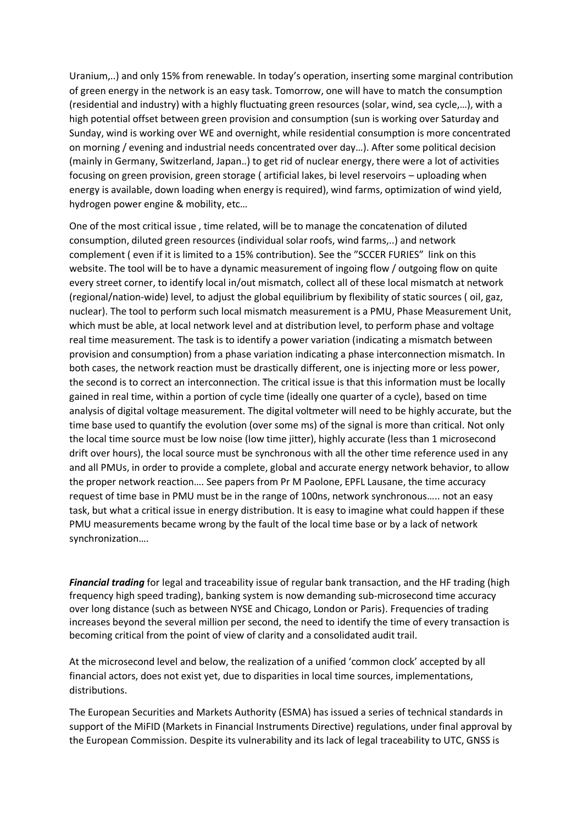Uranium,..) and only 15% from renewable. In today's operation, inserting some marginal contribution of green energy in the network is an easy task. Tomorrow, one will have to match the consumption (residential and industry) with a highly fluctuating green resources (solar, wind, sea cycle,…), with a high potential offset between green provision and consumption (sun is working over Saturday and Sunday, wind is working over WE and overnight, while residential consumption is more concentrated on morning / evening and industrial needs concentrated over day…). After some political decision (mainly in Germany, Switzerland, Japan..) to get rid of nuclear energy, there were a lot of activities focusing on green provision, green storage ( artificial lakes, bi level reservoirs – uploading when energy is available, down loading when energy is required), wind farms, optimization of wind yield, hydrogen power engine & mobility, etc…

One of the most critical issue , time related, will be to manage the concatenation of diluted consumption, diluted green resources (individual solar roofs, wind farms,..) and network complement ( even if it is limited to a 15% contribution). See the "SCCER FURIES" link on this website. The tool will be to have a dynamic measurement of ingoing flow / outgoing flow on quite every street corner, to identify local in/out mismatch, collect all of these local mismatch at network (regional/nation-wide) level, to adjust the global equilibrium by flexibility of static sources ( oil, gaz, nuclear). The tool to perform such local mismatch measurement is a PMU, Phase Measurement Unit, which must be able, at local network level and at distribution level, to perform phase and voltage real time measurement. The task is to identify a power variation (indicating a mismatch between provision and consumption) from a phase variation indicating a phase interconnection mismatch. In both cases, the network reaction must be drastically different, one is injecting more or less power, the second is to correct an interconnection. The critical issue is that this information must be locally gained in real time, within a portion of cycle time (ideally one quarter of a cycle), based on time analysis of digital voltage measurement. The digital voltmeter will need to be highly accurate, but the time base used to quantify the evolution (over some ms) of the signal is more than critical. Not only the local time source must be low noise (low time jitter), highly accurate (less than 1 microsecond drift over hours), the local source must be synchronous with all the other time reference used in any and all PMUs, in order to provide a complete, global and accurate energy network behavior, to allow the proper network reaction…. See papers from Pr M Paolone, EPFL Lausane, the time accuracy request of time base in PMU must be in the range of 100ns, network synchronous….. not an easy task, but what a critical issue in energy distribution. It is easy to imagine what could happen if these PMU measurements became wrong by the fault of the local time base or by a lack of network synchronization….

*Financial trading* for legal and traceability issue of regular bank transaction, and the HF trading (high frequency high speed trading), banking system is now demanding sub-microsecond time accuracy over long distance (such as between NYSE and Chicago, London or Paris). Frequencies of trading increases beyond the several million per second, the need to identify the time of every transaction is becoming critical from the point of view of clarity and a consolidated audit trail.

At the microsecond level and below, the realization of a unified 'common clock' accepted by all financial actors, does not exist yet, due to disparities in local time sources, implementations, distributions.

The European Securities and Markets Authority (ESMA) has issued a series of technical standards in support of the MiFID (Markets in Financial Instruments Directive) regulations, under final approval by the European Commission. Despite its vulnerability and its lack of legal traceability to UTC, GNSS is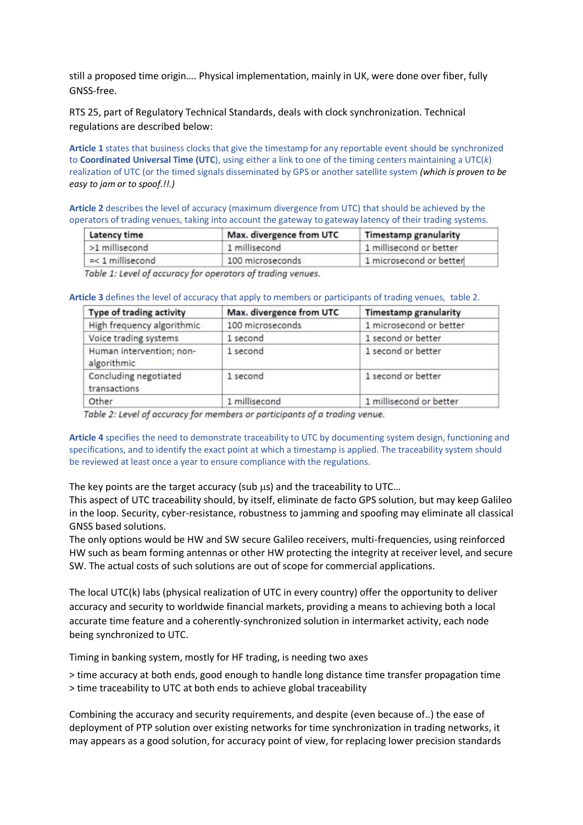still a proposed time origin…. Physical implementation, mainly in UK, were done over fiber, fully GNSS-free.

RTS 25, part of Regulatory Technical Standards, deals with clock synchronization. Technical regulations are described below:

**Article 1** states that business clocks that give the timestamp for any reportable event should be synchronized to **Coordinated Universal Time (UTC**), using either a link to one of the timing centers maintaining a UTC(*k*) realization of UTC (or the timed signals disseminated by GPS or another satellite system *(which is proven to be easy to jam or to spoof.!!.)* 

**Article 2** describes the level of accuracy (maximum divergence from UTC) that should be achieved by the operators of trading venues, taking into account the gateway to gateway latency of their trading systems.

| Latency time       | Max. divergence from UTC | <b>Timestamp granularity</b><br>1 millisecond or better<br>1 microsecond or better |  |
|--------------------|--------------------------|------------------------------------------------------------------------------------|--|
| >1 millisecond     | 1 millisecond            |                                                                                    |  |
| $=<$ 1 millisecond | 100 microseconds         |                                                                                    |  |

Table 1: Level of accuracy for operators of trading venues.

#### **Article 3** defines the level of accuracy that apply to members or participants of trading venues, table 2.

| Type of trading activity                | Max. divergence from UTC | <b>Timestamp granularity</b> |  |
|-----------------------------------------|--------------------------|------------------------------|--|
| High frequency algorithmic              | 100 microseconds         | 1 microsecond or better      |  |
| Voice trading systems                   | 1 second                 | 1 second or better           |  |
| Human intervention; non-<br>algorithmic | 1 second                 | 1 second or better           |  |
| Concluding negotiated<br>transactions   | 1 second                 | 1 second or better           |  |
| Other                                   | 1 millisecond            | 1 millisecond or better      |  |

Table 2: Level of accuracy for members or participants of a trading venue.

**Article 4** specifies the need to demonstrate traceability to UTC by documenting system design, functioning and specifications, and to identify the exact point at which a timestamp is applied. The traceability system should be reviewed at least once a year to ensure compliance with the regulations.

The key points are the target accuracy (sub  $\mu$ s) and the traceability to UTC...

This aspect of UTC traceability should, by itself, eliminate de facto GPS solution, but may keep Galileo in the loop. Security, cyber-resistance, robustness to jamming and spoofing may eliminate all classical GNSS based solutions.

The only options would be HW and SW secure Galileo receivers, multi-frequencies, using reinforced HW such as beam forming antennas or other HW protecting the integrity at receiver level, and secure SW. The actual costs of such solutions are out of scope for commercial applications.

The local UTC(k) labs (physical realization of UTC in every country) offer the opportunity to deliver accuracy and security to worldwide financial markets, providing a means to achieving both a local accurate time feature and a coherently-synchronized solution in intermarket activity, each node being synchronized to UTC.

Timing in banking system, mostly for HF trading, is needing two axes

> time accuracy at both ends, good enough to handle long distance time transfer propagation time > time traceability to UTC at both ends to achieve global traceability

Combining the accuracy and security requirements, and despite (even because of..) the ease of deployment of PTP solution over existing networks for time synchronization in trading networks, it may appears as a good solution, for accuracy point of view, for replacing lower precision standards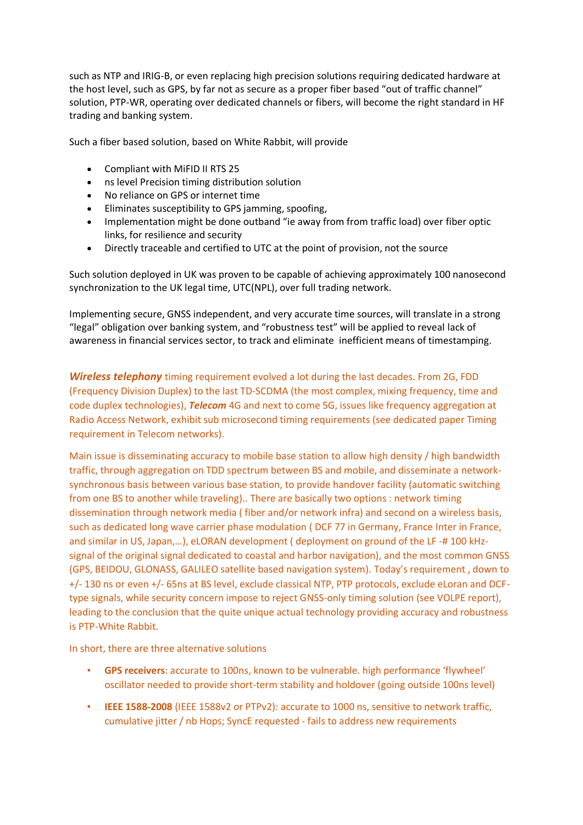such as NTP and IRIG-B, or even replacing high precision solutions requiring dedicated hardware at the host level, such as GPS, by far not as secure as a proper fiber based "out of traffic channel" solution, PTP-WR, operating over dedicated channels or fibers, will become the right standard in HF trading and banking system.

Such a fiber based solution, based on White Rabbit, will provide

- Compliant with MiFID II RTS 25
- ns level Precision timing distribution solution
- No reliance on GPS or internet time
- Eliminates susceptibility to GPS jamming, spoofing,
- Implementation might be done outband "ie away from from traffic load) over fiber optic links, for resilience and security
- Directly traceable and certified to UTC at the point of provision, not the source

Such solution deployed in UK was proven to be capable of achieving approximately 100 nanosecond synchronization to the UK legal time, UTC(NPL), over full trading network.

Implementing secure, GNSS independent, and very accurate time sources, will translate in a strong "legal" obligation over banking system, and "robustness test" will be applied to reveal lack of awareness in financial services sector, to track and eliminate inefficient means of timestamping.

*Wireless telephony* timing requirement evolved a lot during the last decades. From 2G, FDD (Frequency Division Duplex) to the last TD-SCDMA (the most complex, mixing frequency, time and code duplex technologies), *Telecom* 4G and next to come 5G, issues like frequency aggregation at Radio Access Network, exhibit sub microsecond timing requirements (see dedicated paper Timing requirement in Telecom networks).

Main issue is disseminating accuracy to mobile base station to allow high density / high bandwidth traffic, through aggregation on TDD spectrum between BS and mobile, and disseminate a networksynchronous basis between various base station, to provide handover facility (automatic switching from one BS to another while traveling).. There are basically two options : network timing dissemination through network media ( fiber and/or network infra) and second on a wireless basis, such as dedicated long wave carrier phase modulation (DCF 77 in Germany, France Inter in France, and similar in US, Japan,…), eLORAN development ( deployment on ground of the LF -# 100 kHzsignal of the original signal dedicated to coastal and harbor navigation), and the most common GNSS (GPS, BEIDOU, GLONASS, GALILEO satellite based navigation system). Today's requirement , down to +/- 130 ns or even +/- 65ns at BS level, exclude classical NTP, PTP protocols, exclude eLoran and DCFtype signals, while security concern impose to reject GNSS-only timing solution (see VOLPE report), leading to the conclusion that the quite unique actual technology providing accuracy and robustness is PTP-White Rabbit.

In short, there are three alternative solutions

- **GPS receivers**: accurate to 100ns, known to be vulnerable. high performance 'flywheel' oscillator needed to provide short-term stability and holdover (going outside 100ns level)
- **IEEE 1588-2008** (IEEE 1588v2 or PTPv2): accurate to 1000 ns, sensitive to network traffic, cumulative jitter / nb Hops; SyncE requested - fails to address new requirements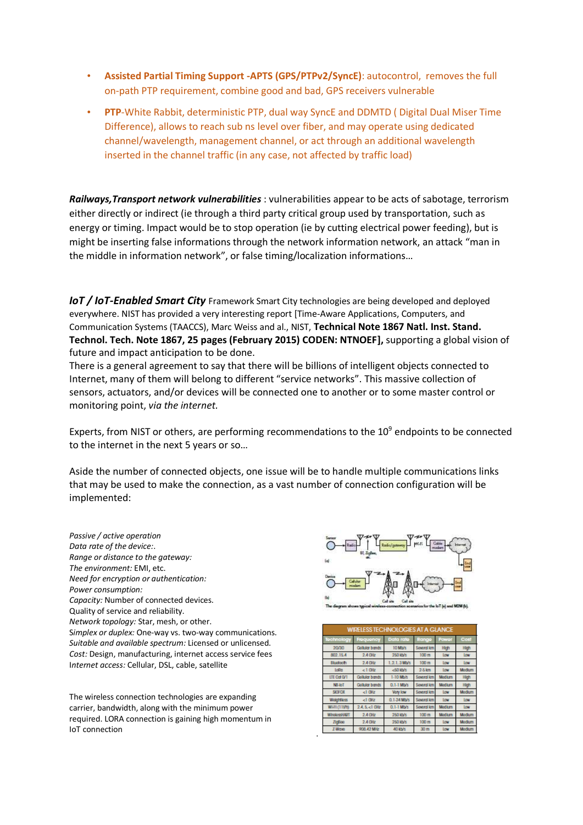- **Assisted Partial Timing Support -APTS (GPS/PTPv2/SyncE)**: autocontrol, removes the full on-path PTP requirement, combine good and bad, GPS receivers vulnerable
- **PTP**-White Rabbit, deterministic PTP, dual way SyncE and DDMTD ( Digital Dual Miser Time Difference), allows to reach sub ns level over fiber, and may operate using dedicated channel/wavelength, management channel, or act through an additional wavelength inserted in the channel traffic (in any case, not affected by traffic load)

*Railways,Transport network vulnerabilities* : vulnerabilities appear to be acts of sabotage, terrorism either directly or indirect (ie through a third party critical group used by transportation, such as energy or timing. Impact would be to stop operation (ie by cutting electrical power feeding), but is might be inserting false informations through the network information network, an attack "man in the middle in information network", or false timing/localization informations…

*IoT* / IoT-Enabled Smart City Framework Smart City technologies are being developed and deployed everywhere. NIST has provided a very interesting report [Time-Aware Applications, Computers, and Communication Systems (TAACCS), Marc Weiss and al., NIST, **Technical Note 1867 Natl. Inst. Stand. Technol. Tech. Note 1867, 25 pages (February 2015) CODEN: NTNOEF],** supporting a global vision of future and impact anticipation to be done.

There is a general agreement to say that there will be billions of intelligent objects connected to Internet, many of them will belong to different "service networks". This massive collection of sensors, actuators, and/or devices will be connected one to another or to some master control or monitoring point, *via the internet.*

Experts, from NIST or others, are performing recommendations to the  $10<sup>9</sup>$  endpoints to be connected to the internet in the next 5 years or so…

Aside the number of connected objects, one issue will be to handle multiple communications links that may be used to make the connection, as a vast number of connection configuration will be implemented:

.

*Passive / active operation Data rate of the device:*. *Range or distance to the gateway: The environment:* EMI, etc. *Need for encryption or authentication: Power consumption: Capacity:* Number of connected devices. Quality of service and reliability. *Network topology:* Star, mesh, or other. S*implex or duplex:* One-way vs. two-way communications. *Suitable and available spectrum:* Licensed or unlicensed. *Cost:* Design, manufacturing, internet access service fees I*nternet access:* Cellular, DSL, cable, satellite

The wireless connection technologies are expanding carrier, bandwidth, along with the minimum power required. LORA connection is gaining high momentum in IoT connection



| <b>WIRELESS TECHNOLOGIES AT A GLANCE</b> |                       |              |                  |               |            |  |  |  |
|------------------------------------------|-----------------------|--------------|------------------|---------------|------------|--|--|--|
| Technology                               | Frequency             | Data rate    | Range            | Power         | Cost       |  |  |  |
| 26/36                                    | <b>Collular bands</b> | 10 Mb/s      | Savaral km       | High          | High       |  |  |  |
| 802.15.4                                 | $2.4$ GHz             | 250 kb/s     | 100 <sub>m</sub> | Low           | <b>Low</b> |  |  |  |
| <b>Bluctooth</b>                         | $2.4$ GHz             | 1.2.1.3 Mb/s | 100 <sub>m</sub> | Low           | <b>Low</b> |  |  |  |
| LoRa                                     | $< 1$ GHz             | <50 kb/s     | $2-5$ km         | Low           | Modlum     |  |  |  |
| LTE Cat O/T                              | Collular bands        | 1-10 Mb/s    | Sovoral km       | <b>Modlum</b> | High       |  |  |  |
| NB-loT                                   | <b>Collular bands</b> | 0.1-1 Mb/s   | Savaral km       | <b>Modlum</b> | High       |  |  |  |
| <b>SIGFOX</b>                            | $< 1$ GHz             | Vary low     | Soveral km       | Low           | Modlum     |  |  |  |
| Wolghtlass                               | $< 1$ GHz             | 0.1-24 Mb/s  | Savaral km       | <b>Low</b>    | <b>Low</b> |  |  |  |
| WI-FI (11M)                              | 2.4.5.<1 BHz          | 0.1-1 Mb/s   | Soveral km       | <b>Modium</b> | <b>Low</b> |  |  |  |
| <b>WholessHART</b>                       | $2.4$ GHz             | 250 kb/s     | 100 <sub>m</sub> | <b>Modium</b> | Modlum     |  |  |  |
| <b>ZigBoo</b>                            | $2.4$ GHz             | 250 kb/s     | 100 <sub>m</sub> | <b>Low</b>    | Modlum     |  |  |  |
| Z-Wayo                                   | 908.42 MHz            | 40 kb/s      | 30 <sub>m</sub>  | tow           | Madium     |  |  |  |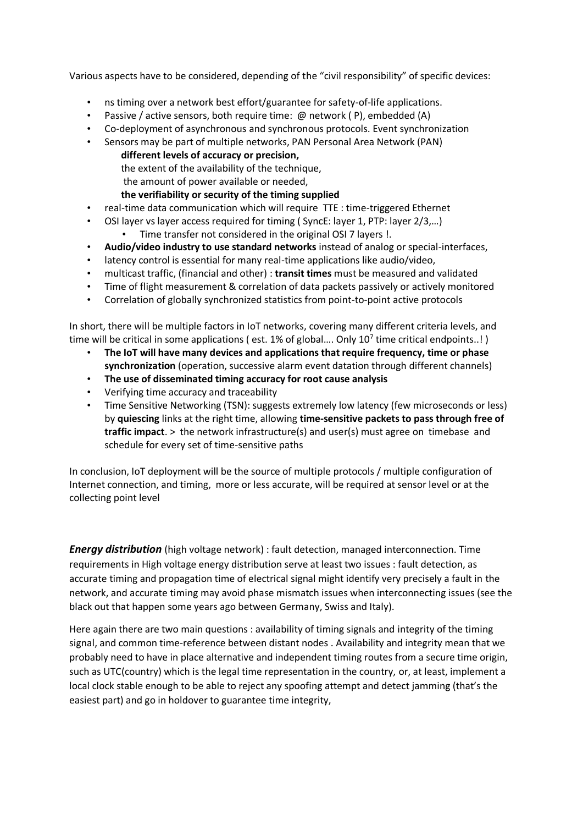Various aspects have to be considered, depending of the "civil responsibility" of specific devices:

- ns timing over a network best effort/guarantee for safety-of-life applications.
- Passive / active sensors, both require time: @ network (P), embedded (A)
- Co-deployment of asynchronous and synchronous protocols. Event synchronization
- Sensors may be part of multiple networks, PAN Personal Area Network (PAN)
	- **different levels of accuracy or precision,**
	- the extent of the availability of the technique,
	- the amount of power available or needed,

## **the verifiability or security of the timing supplied**

- real-time data communication which will require TTE : time-triggered Ethernet
- OSI layer vs layer access required for timing (SyncE: layer 1, PTP: layer 2/3,...) • Time transfer not considered in the original OSI 7 layers !.
- **Audio/video industry to use standard networks** instead of analog or special-interfaces,
- latency control is essential for many real-time applications like audio/video,
- multicast traffic, (financial and other) : **transit times** must be measured and validated
- Time of flight measurement & correlation of data packets passively or actively monitored
- Correlation of globally synchronized statistics from point-to-point active protocols

In short, there will be multiple factors in IoT networks, covering many different criteria levels, and time will be critical in some applications ( est. 1% of global.... Only 10<sup>7</sup> time critical endpoints..! )

- **The IoT will have many devices and applications that require frequency, time or phase synchronization** (operation, successive alarm event datation through different channels)
- **The use of disseminated timing accuracy for root cause analysis**
- Verifying time accuracy and traceability
- Time Sensitive Networking (TSN): suggests extremely low latency (few microseconds or less) by **quiescing** links at the right time, allowing **time-sensitive packets to pass through free of traffic impact**. > the network infrastructure(s) and user(s) must agree on timebase and schedule for every set of time-sensitive paths

In conclusion, IoT deployment will be the source of multiple protocols / multiple configuration of Internet connection, and timing, more or less accurate, will be required at sensor level or at the collecting point level

*Energy distribution* (high voltage network) : fault detection, managed interconnection. Time requirements in High voltage energy distribution serve at least two issues : fault detection, as accurate timing and propagation time of electrical signal might identify very precisely a fault in the network, and accurate timing may avoid phase mismatch issues when interconnecting issues (see the black out that happen some years ago between Germany, Swiss and Italy).

Here again there are two main questions : availability of timing signals and integrity of the timing signal, and common time-reference between distant nodes . Availability and integrity mean that we probably need to have in place alternative and independent timing routes from a secure time origin, such as UTC(country) which is the legal time representation in the country, or, at least, implement a local clock stable enough to be able to reject any spoofing attempt and detect jamming (that's the easiest part) and go in holdover to guarantee time integrity,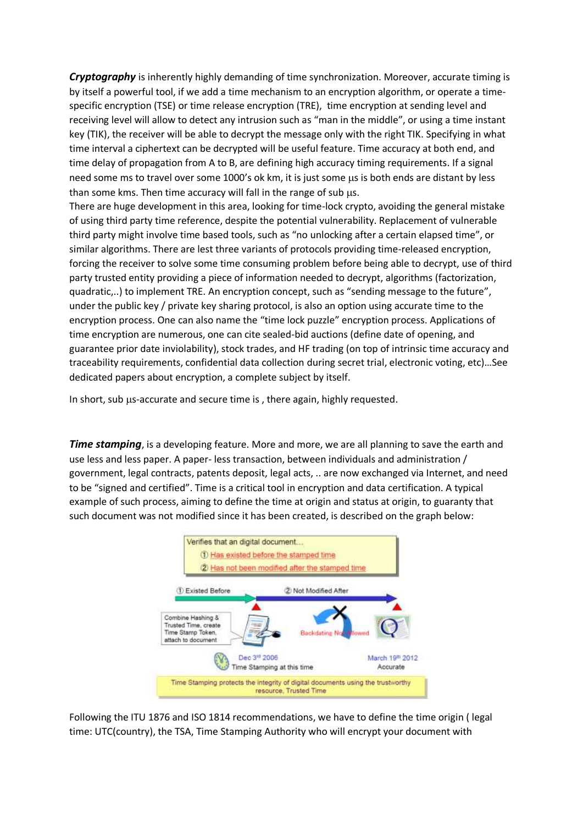*Cryptography* is inherently highly demanding of time synchronization. Moreover, accurate timing is by itself a powerful tool, if we add a time mechanism to an encryption algorithm, or operate a timespecific encryption (TSE) or time release encryption (TRE), time encryption at sending level and receiving level will allow to detect any intrusion such as "man in the middle", or using a time instant key (TIK), the receiver will be able to decrypt the message only with the right TIK. Specifying in what time interval a ciphertext can be decrypted will be useful feature. Time accuracy at both end, and time delay of propagation from A to B, are defining high accuracy timing requirements. If a signal need some ms to travel over some 1000's ok km, it is just some us is both ends are distant by less than some kms. Then time accuracy will fall in the range of sub  $\mu$ s.

There are huge development in this area, looking for time-lock crypto, avoiding the general mistake of using third party time reference, despite the potential vulnerability. Replacement of vulnerable third party might involve time based tools, such as "no unlocking after a certain elapsed time", or similar algorithms. There are lest three variants of protocols providing time-released encryption, forcing the receiver to solve some time consuming problem before being able to decrypt, use of third party trusted entity providing a piece of information needed to decrypt, algorithms (factorization, quadratic,..) to implement TRE. An encryption concept, such as "sending message to the future", under the public key / private key sharing protocol, is also an option using accurate time to the encryption process. One can also name the "time lock puzzle" encryption process. Applications of time encryption are numerous, one can cite sealed-bid auctions (define date of opening, and guarantee prior date inviolability), stock trades, and HF trading (on top of intrinsic time accuracy and traceability requirements, confidential data collection during secret trial, electronic voting, etc)…See dedicated papers about encryption, a complete subject by itself.

In short, sub us-accurate and secure time is, there again, highly requested.

**Time stamping**, is a developing feature. More and more, we are all planning to save the earth and use less and less paper. A paper- less transaction, between individuals and administration / government, legal contracts, patents deposit, legal acts, .. are now exchanged via Internet, and need to be "signed and certified". Time is a critical tool in encryption and data certification. A typical example of such process, aiming to define the time at origin and status at origin, to guaranty that such document was not modified since it has been created, is described on the graph below:



Following the ITU 1876 and ISO 1814 recommendations, we have to define the time origin ( legal time: UTC(country), the TSA, Time Stamping Authority who will encrypt your document with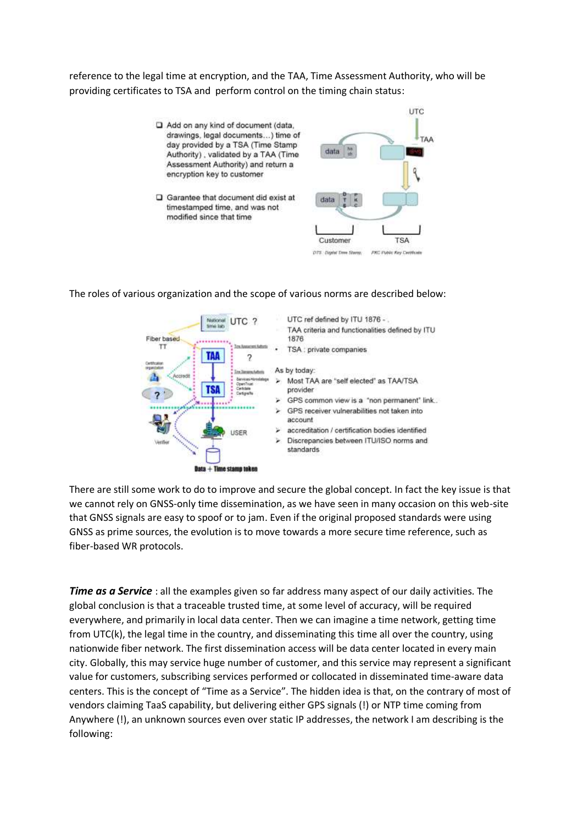reference to the legal time at encryption, and the TAA, Time Assessment Authority, who will be providing certificates to TSA and perform control on the timing chain status:



Garantee that document did exist at timestamped time, and was not modified since that time





## The roles of various organization and the scope of various norms are described below:

There are still some work to do to improve and secure the global concept. In fact the key issue is that we cannot rely on GNSS-only time dissemination, as we have seen in many occasion on this web-site that GNSS signals are easy to spoof or to jam. Even if the original proposed standards were using GNSS as prime sources, the evolution is to move towards a more secure time reference, such as fiber-based WR protocols.

*Time as a Service*: all the examples given so far address many aspect of our daily activities. The global conclusion is that a traceable trusted time, at some level of accuracy, will be required everywhere, and primarily in local data center. Then we can imagine a time network, getting time from UTC(k), the legal time in the country, and disseminating this time all over the country, using nationwide fiber network. The first dissemination access will be data center located in every main city. Globally, this may service huge number of customer, and this service may represent a significant value for customers, subscribing services performed or collocated in disseminated time-aware data centers. This is the concept of "Time as a Service". The hidden idea is that, on the contrary of most of vendors claiming TaaS capability, but delivering either GPS signals (!) or NTP time coming from Anywhere (!), an unknown sources even over static IP addresses, the network I am describing is the following: